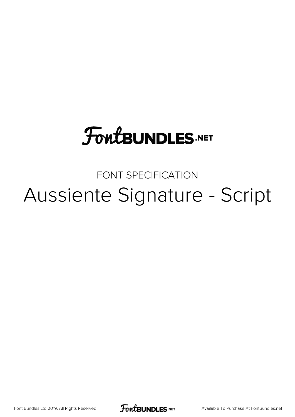## **FoutBUNDLES.NET**

## FONT SPECIFICATION Aussiente Signature - Script

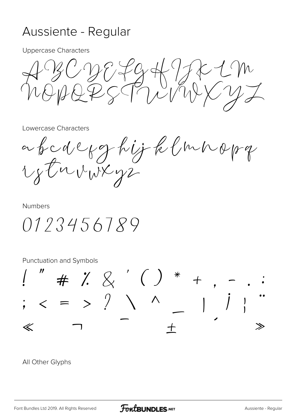## Aussiente - Regular

Uppercase Characters

 $B^c$ NOPQRSTUVWXYZ

Lowercase Characters

a b cd c f g hij k l m n o p q rstuvwxyz

Numbers

0123456789

Punctuation and Symbols



All Other Glyphs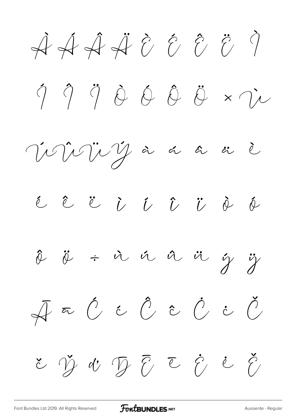$\overrightarrow{A} \overrightarrow{A} \overrightarrow{A} \overrightarrow{C} \overrightarrow{C} \overrightarrow{C} \overrightarrow{C}$  $\begin{array}{ccccc}\eta&\hat{\eta}&\hat{\theta}&\hat{\theta}&\hat{\theta}&\hat{\theta}&\hat{\theta}\end{array}\times\begin{array}{ccccc}\ddot{\eta}&\dot{\eta}&\dot{\theta}&\hat{\theta}\end{array}\times\begin{array}{ccccc}\ddot{\eta}&\dot{\eta}&\dot{\theta}&\hat{\theta}\end{array}$ Veville dans de é ê ë i í î ï è é  $\hat{\phi}$   $\ddot{\phi}$  +  $\dot{\alpha}$   $\dot{\alpha}$   $\ddot{\alpha}$   $\ddot{\alpha}$   $\ddot{\gamma}$   $\dddot{\gamma}$  $\begin{array}{l} \bar{\mathcal{A}} \; \bar{\;\;}\; \tilde{\mathcal{C}} \; \; \tilde{\mathcal{C}} \; \; \tilde{\mathcal{C}} \; \; \tilde{\mathcal{C}} \; \; \tilde{\mathcal{C}} \; \; \tilde{\mathcal{C}} \; \; \tilde{\mathcal{C}} \; \; \end{array}$ とう d' D E C C と C

FontBUNDLES.NET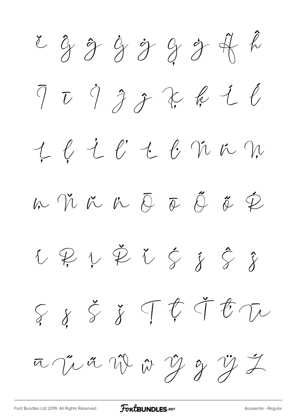ě Ĝ ĝ Ġ ġ Ģ ģ Ĥ ĥ Ī ī İ Ĵ ĵ Ķ ķ Ĺ ĺ Ļ ļ Ľ ľ Ŀ ŀ Ń ń Ņ ņ Ň ň 'n Ō ō Ő ő Ŕ ŕ Ŗ ŗ Ř ř Ś ś Ŝ ŝ  $\xi$   $\xi$   $\xi$   $\top$   $\xi$  if  $\tau$ ūŰű Ŵ ŵ Ŷ ŷ Ÿ Ź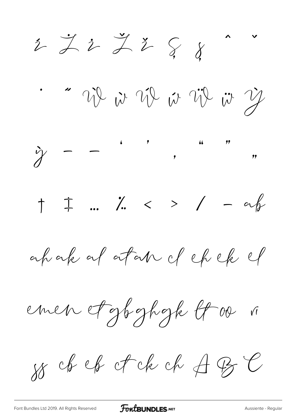$2\overline{2}$   $\overline{2}$   $\overline{2}$   $\overline{2}$   $\overline{3}$   $\overline{4}$ 1 22 23 24 22 23 23  $\hat{y}$  -  $\ddot{x}$ ,  $\ddot{y}$ ,  $\ddot{y}$ ,  $\ddot{y}$  $\uparrow$   $\uparrow$  ...  $\uparrow$   $\swarrow$  >  $\swarrow$  - af ahakal atan dehek emen etgbghgk lt 00 i SS ch est ck ck ≠ BC